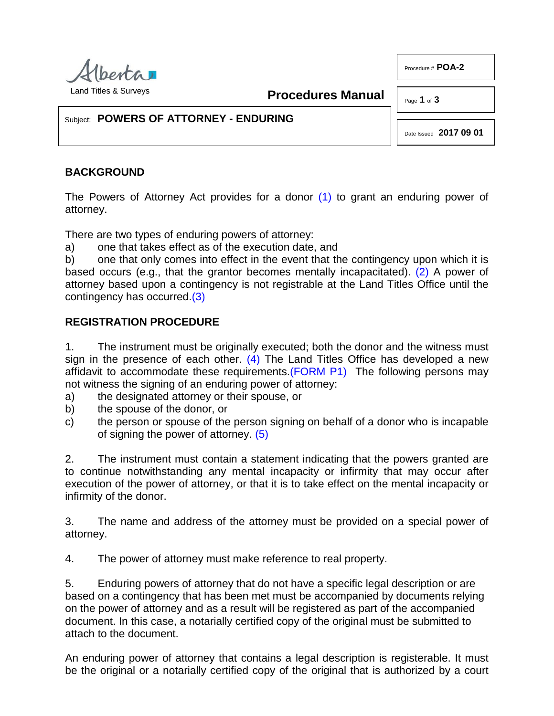

**Procedures Manual**

Page **1** of **3** 

Procedure # **POA-2**

Subject: **POWERS OF ATTORNEY - ENDURING**

<span id="page-0-1"></span><span id="page-0-0"></span>Date Issued **2017 09 01**

# **BACKGROUND**

The Powers of Attorney Act provides for a donor [\(1\)](#page-2-0) to grant an enduring power of attorney.

There are two types of enduring powers of attorney:

a) one that takes effect as of the execution date, and

b) one that only comes into effect in the event that the contingency upon which it is based occurs (e.g., that the grantor becomes mentally incapacitated). [\(2\)](#page-2-1) A power of attorney based upon a contingency is not registrable at the Land Titles Office until the contingency has occurred[.\(3\)](#page-2-2)

## <span id="page-0-2"></span>**REGISTRATION PROCEDURE**

<span id="page-0-3"></span>1. The instrument must be originally executed; both the donor and the witness must sign in the presence of each other.  $(4)$  The Land Titles Office has developed a new affidavit to accommodate these requirements[.\(FORM P1\)](http://www.servicealberta.ca/pdf/ltmanual/POA-2-FORMP1.PDF) The following persons may not witness the signing of an enduring power of attorney:

- a) the designated attorney or their spouse, or
- b) the spouse of the donor, or
- <span id="page-0-4"></span>c) the person or spouse of the person signing on behalf of a donor who is incapable of signing the power of attorney. [\(5\)](#page-2-4)

2. The instrument must contain a statement indicating that the powers granted are to continue notwithstanding any mental incapacity or infirmity that may occur after execution of the power of attorney, or that it is to take effect on the mental incapacity or infirmity of the donor.

3. The name and address of the attorney must be provided on a special power of attorney.

4. The power of attorney must make reference to real property.

5. Enduring powers of attorney that do not have a specific legal description or are based on a contingency that has been met must be accompanied by documents relying on the power of attorney and as a result will be registered as part of the accompanied document. In this case, a notarially certified copy of the original must be submitted to attach to the document.

An enduring power of attorney that contains a legal description is registerable. It must be the original or a notarially certified copy of the original that is authorized by a court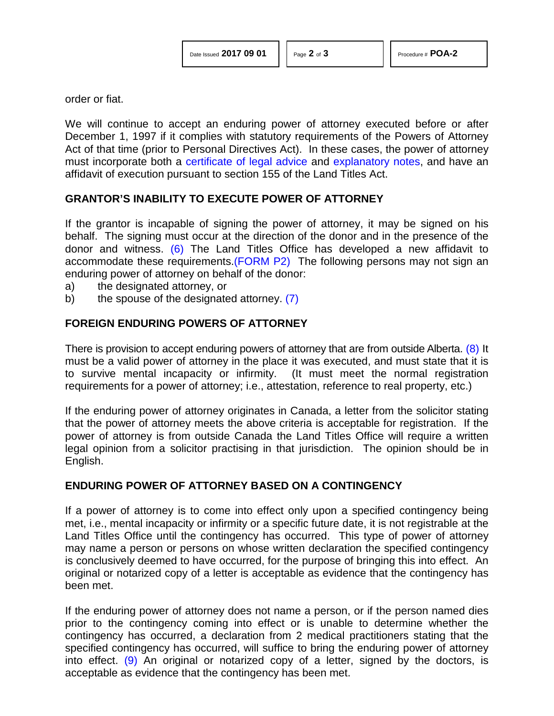order or fiat.

We will continue to accept an enduring power of attorney executed before or after December 1, 1997 if it complies with statutory requirements of the Powers of Attorney Act of that time (prior to Personal Directives Act). In these cases, the power of attorney must incorporate both a [certificate of legal advice](http://www.servicealberta.ca/pdf/ltmanual/POA-2%20CERTIFICATE%20OF%20LEGAL%20ADVICE.pdf) and [explanatory notes,](http://www.servicealberta.ca/pdf/ltmanual/POA-2%20EXPLANATORY%20NOTES.pdf) and have an affidavit of execution pursuant to section 155 of the Land Titles Act.

## **GRANTOR'S INABILITY TO EXECUTE POWER OF ATTORNEY**

<span id="page-1-0"></span>If the grantor is incapable of signing the power of attorney, it may be signed on his behalf. The signing must occur at the direction of the donor and in the presence of the donor and witness. [\(6\)](#page-2-5) The Land Titles Office has developed a new affidavit to accommodate these requirements[.\(FORM P2\)](http://www.servicealberta.ca/pdf/ltmanual/POA-2-FORMP2.PDF) The following persons may not sign an enduring power of attorney on behalf of the donor:

- a) the designated attorney, or
- <span id="page-1-1"></span>b) the spouse of the designated attorney. [\(7\)](#page-2-6)

### **FOREIGN ENDURING POWERS OF ATTORNEY**

<span id="page-1-2"></span>There is provision to accept enduring powers of attorney that are from outside Alberta. [\(8\)](#page-2-7) It must be a valid power of attorney in the place it was executed, and must state that it is to survive mental incapacity or infirmity. (It must meet the normal registration requirements for a power of attorney; i.e., attestation, reference to real property, etc.)

If the enduring power of attorney originates in Canada, a letter from the solicitor stating that the power of attorney meets the above criteria is acceptable for registration. If the power of attorney is from outside Canada the Land Titles Office will require a written legal opinion from a solicitor practising in that jurisdiction. The opinion should be in English.

#### **ENDURING POWER OF ATTORNEY BASED ON A CONTINGENCY**

If a power of attorney is to come into effect only upon a specified contingency being met, i.e., mental incapacity or infirmity or a specific future date, it is not registrable at the Land Titles Office until the contingency has occurred. This type of power of attorney may name a person or persons on whose written declaration the specified contingency is conclusively deemed to have occurred, for the purpose of bringing this into effect. An original or notarized copy of a letter is acceptable as evidence that the contingency has been met.

<span id="page-1-3"></span>If the enduring power of attorney does not name a person, or if the person named dies prior to the contingency coming into effect or is unable to determine whether the contingency has occurred, a declaration from 2 medical practitioners stating that the specified contingency has occurred, will suffice to bring the enduring power of attorney into effect. [\(9\)](#page-2-8) An original or notarized copy of a letter, signed by the doctors, is acceptable as evidence that the contingency has been met.